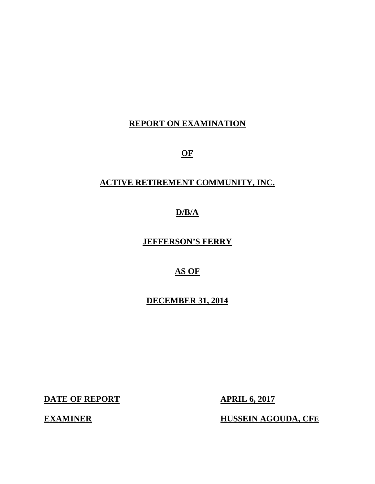# **REPORT ON EXAMINATION**

**OF** 

# **ACTIVE RETIREMENT COMMUNITY, INC.**

**D/B/A** 

 **JEFFERSON'S FERRY** 

 **AS OF** 

 **DECEMBER 31, 2014** 

**DATE OF REPORT APRIL 6, 2017** 

**EXAMINER** 

**HUSSEIN AGOUDA, CFE**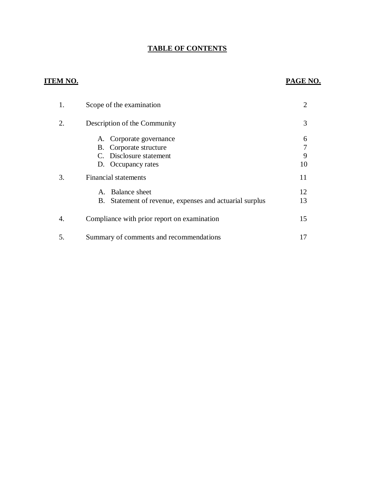#### **TABLE OF CONTENTS**

### **ITEM NO.**

#### **PAGE NO.**

| 1. | Scope of the examination                                                                            | 2                 |
|----|-----------------------------------------------------------------------------------------------------|-------------------|
| 2. | Description of the Community                                                                        | 3                 |
|    | A. Corporate governance<br>B. Corporate structure<br>C. Disclosure statement<br>D. Occupancy rates  | 6<br>7<br>9<br>10 |
| 3. | <b>Financial statements</b>                                                                         | 11                |
|    | Balance sheet<br>$\mathsf{A}_{\cdot}$<br>Statement of revenue, expenses and actuarial surplus<br>В. | 12<br>13          |
| 4. | Compliance with prior report on examination                                                         | 15                |
| 5. | Summary of comments and recommendations                                                             |                   |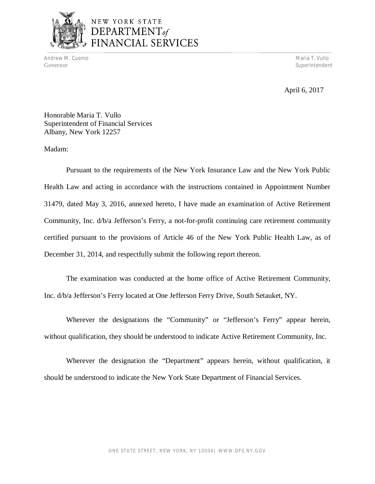

Andrew M. Cuomo Maria T. Vullo (1999), and a state of the control of the control of the control of the control of the control of the control of the control of the control of the control of the control of the control of the Governor Superintendent Superintendent Superintendent Superintendent Superintendent Superintendent Superintendent Superintendent Superintendent Superintendent Superintendent Superintendent Superintendent Superintendent Sup

April 6, 2017

 Honorable Maria T. Vullo Superintendent of Financial Services Albany, New York 12257

Madam:

 Pursuant to the requirements of the New York Insurance Law and the New York Public Health Law and acting in accordance with the instructions contained in Appointment Number 31479, dated May 3, 2016, annexed hereto, I have made an examination of Active Retirement Community, Inc. d/b/a Jefferson's Ferry, a not-for-profit continuing care retirement community certified pursuant to the provisions of Article 46 of the New York Public Health Law, as of December 31, 2014, and respectfully submit the following report thereon.

 Inc. d/b/a Jefferson's Ferry located at One Jefferson Ferry Drive, South Setauket, NY. The examination was conducted at the home office of Active Retirement Community,

 Wherever the designations the "Community" or "Jefferson's Ferry" appear herein, without qualification, they should be understood to indicate Active Retirement Community, Inc.

 Wherever the designation the "Department" appears herein, without qualification, it should be understood to indicate the New York State Department of Financial Services.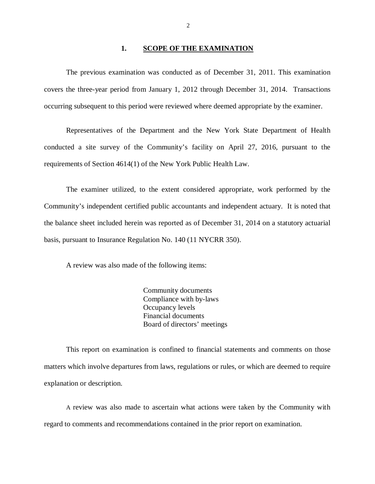#### **1. SCOPE OF THE EXAMINATION**

<span id="page-3-0"></span> The previous examination was conducted as of December 31, 2011. This examination covers the three-year period from January 1, 2012 through December 31, 2014. Transactions occurring subsequent to this period were reviewed where deemed appropriate by the examiner.

 Representatives of the Department and the New York State Department of Health conducted a site survey of the Community's facility on April 27, 2016, pursuant to the requirements of Section 4614(1) of the New York Public Health Law.

 The examiner utilized, to the extent considered appropriate, work performed by the Community's independent certified public accountants and independent actuary. It is noted that the balance sheet included herein was reported as of December 31, 2014 on a statutory actuarial basis, pursuant to Insurance Regulation No. 140 (11 NYCRR 350).

A review was also made of the following items:

 Community documents Compliance with by-laws Occupancy levels Financial documents Board of directors' meetings

 matters which involve departures from laws, regulations or rules, or which are deemed to require explanation or description. This report on examination is confined to financial statements and comments on those

 A review was also made to ascertain what actions were taken by the Community with regard to comments and recommendations contained in the prior report on examination.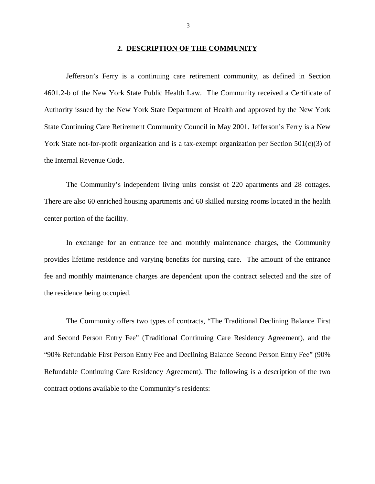#### **2. DESCRIPTION OF THE COMMUNITY**

<span id="page-4-0"></span> Jefferson's Ferry is a continuing care retirement community, as defined in Section 4601.2-b of the New York State Public Health Law. The Community received a Certificate of Authority issued by the New York State Department of Health and approved by the New York State Continuing Care Retirement Community Council in May 2001. Jefferson's Ferry is a New York State not-for-profit organization and is a tax-exempt organization per Section 501(c)(3) of the Internal Revenue Code.

 There are also 60 enriched housing apartments and 60 skilled nursing rooms located in the health center portion of the facility. The Community's independent living units consist of 220 apartments and 28 cottages.

 provides lifetime residence and varying benefits for nursing care. The amount of the entrance fee and monthly maintenance charges are dependent upon the contract selected and the size of the residence being occupied. In exchange for an entrance fee and monthly maintenance charges, the Community

 and Second Person Entry Fee" (Traditional Continuing Care Residency Agreement), and the "90% Refundable First Person Entry Fee and Declining Balance Second Person Entry Fee" (90% Refundable Continuing Care Residency Agreement). The following is a description of the two contract options available to the Community's residents: The Community offers two types of contracts, "The Traditional Declining Balance First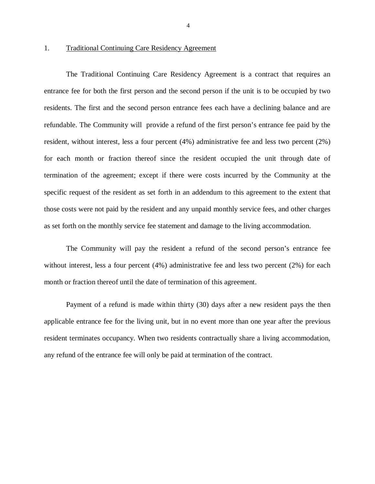#### $1<sub>1</sub>$ **Traditional Continuing Care Residency Agreement**

 entrance fee for both the first person and the second person if the unit is to be occupied by two residents. The first and the second person entrance fees each have a declining balance and are refundable. The Community will provide a refund of the first person's entrance fee paid by the resident, without interest, less a four percent (4%) administrative fee and less two percent (2%) for each month or fraction thereof since the resident occupied the unit through date of termination of the agreement; except if there were costs incurred by the Community at the specific request of the resident as set forth in an addendum to this agreement to the extent that those costs were not paid by the resident and any unpaid monthly service fees, and other charges as set forth on the monthly service fee statement and damage to the living accommodation. The Traditional Continuing Care Residency Agreement is a contract that requires an

 The Community will pay the resident a refund of the second person's entrance fee without interest, less a four percent (4%) administrative fee and less two percent (2%) for each month or fraction thereof until the date of termination of this agreement.

 Payment of a refund is made within thirty (30) days after a new resident pays the then applicable entrance fee for the living unit, but in no event more than one year after the previous resident terminates occupancy. When two residents contractually share a living accommodation, any refund of the entrance fee will only be paid at termination of the contract.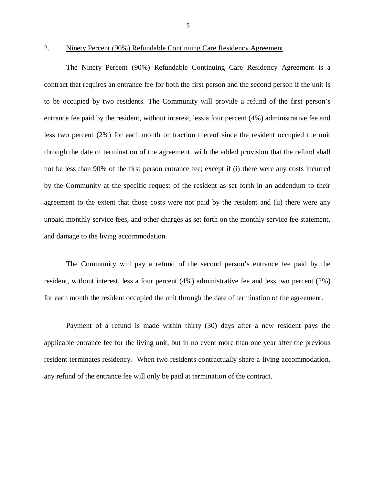$\overline{2}$ .

#### 2. Ninety Percent (90%) Refundable Continuing Care Residency Agreement

 contract that requires an entrance fee for both the first person and the second person if the unit is to be occupied by two residents. The Community will provide a refund of the first person's entrance fee paid by the resident, without interest, less a four percent (4%) administrative fee and less two percent (2%) for each month or fraction thereof since the resident occupied the unit through the date of termination of the agreement, with the added provision that the refund shall not be less than 90% of the first person entrance fee; except if (i) there were any costs incurred by the Community at the specific request of the resident as set forth in an addendum to their agreement to the extent that those costs were not paid by the resident and (ii) there were any unpaid monthly service fees, and other charges as set forth on the monthly service fee statement, and damage to the living accommodation. The Ninety Percent (90%) Refundable Continuing Care Residency Agreement is a

 The Community will pay a refund of the second person's entrance fee paid by the resident, without interest, less a four percent (4%) administrative fee and less two percent (2%) for each month the resident occupied the unit through the date of termination of the agreement.

 Payment of a refund is made within thirty (30) days after a new resident pays the applicable entrance fee for the living unit, but in no event more than one year after the previous resident terminates residency. When two residents contractually share a living accommodation, any refund of the entrance fee will only be paid at termination of the contract.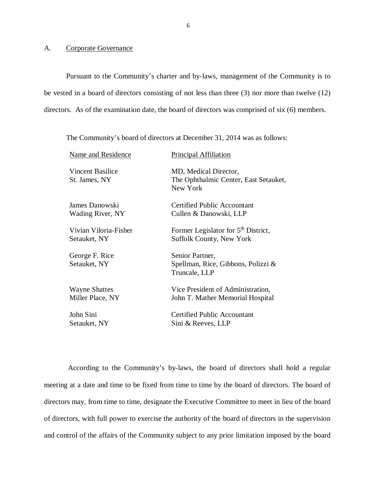#### A. Corporate Governance

 Pursuant to the Community's charter and by-laws, management of the Community is to be vested in a board of directors consisting of not less than three (3) nor more than twelve (12) directors. As of the examination date, the board of directors was comprised of six (6) members.

The Community's board of directors at December 31, 2014 was as follows:

| Name and Residence                | <b>Principal Affiliation</b>                                               |
|-----------------------------------|----------------------------------------------------------------------------|
| Vincent Basilice<br>St. James, NY | MD, Medical Director,<br>The Ophthalmic Center, East Setauket,<br>New York |
| James Danowski                    | <b>Certified Public Accountant</b>                                         |
| Wading River, NY                  | Cullen & Danowski, LLP                                                     |
| Vivian Viloria-Fisher             | Former Legislator for 5 <sup>th</sup> District,                            |
| Setauket, NY                      | Suffolk County, New York                                                   |
| George F. Rice<br>Setauket, NY    | Senior Partner,<br>Spellman, Rice, Gibbons, Polizzi &<br>Truncale, LLP     |
| <b>Wayne Shattes</b>              | Vice President of Administration,                                          |
| Miller Place, NY                  | John T. Mather Memorial Hospital                                           |
| John Sini                         | <b>Certified Public Accountant</b>                                         |
| Setauket, NY                      | Sini & Reeves, LLP                                                         |

 According to the Community's by-laws, the board of directors shall hold a regular meeting at a date and time to be fixed from time to time by the board of directors. The board of directors may, from time to time, designate the Executive Committee to meet in lieu of the board of directors, with full power to exercise the authority of the board of directors in the supervision and control of the affairs of the Community subject to any prior limitation imposed by the board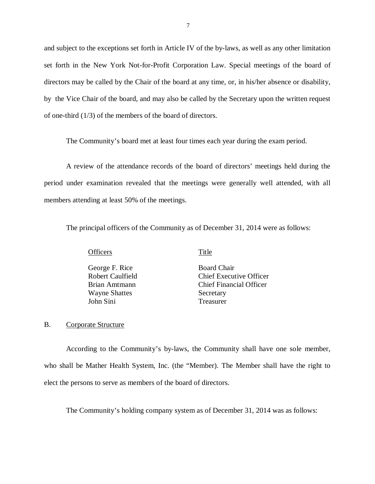<span id="page-8-0"></span> and subject to the exceptions set forth in Article IV of the by-laws, as well as any other limitation set forth in the New York Not-for-Profit Corporation Law. Special meetings of the board of directors may be called by the Chair of the board at any time, or, in his/her absence or disability, by the Vice Chair of the board, and may also be called by the Secretary upon the written request of one-third (1/3) of the members of the board of directors.

The Community's board met at least four times each year during the exam period.

 period under examination revealed that the meetings were generally well attended, with all members attending at least 50% of the meetings. A review of the attendance records of the board of directors' meetings held during the

The principal officers of the Community as of December 31, 2014 were as follows:

**Officers** Title

George F. Rice Board Chair Robert Caulfield Wayne Shattes Secretary John Sini Treasurer

Chief Executive Officer Brian Amtmann Chief Financial Officer

#### B. Corporate Structure

 According to the Community's by-laws, the Community shall have one sole member, who shall be Mather Health System, Inc. (the "Member). The Member shall have the right to elect the persons to serve as members of the board of directors.

The Community's holding company system as of December 31, 2014 was as follows: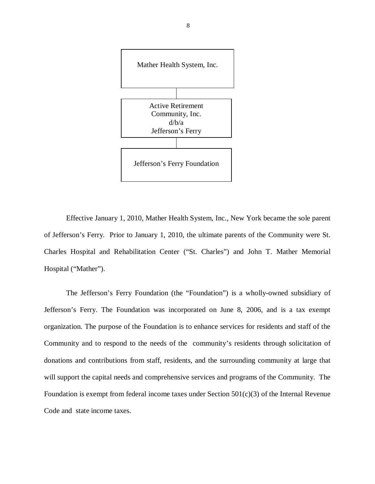

 Effective January 1, 2010, Mather Health System, Inc., New York became the sole parent of Jefferson's Ferry. Prior to January 1, 2010, the ultimate parents of the Community were St. Charles Hospital and Rehabilitation Center ("St. Charles") and John T. Mather Memorial Hospital ("Mather").

 The Jefferson's Ferry Foundation (the "Foundation") is a wholly-owned subsidiary of Jefferson's Ferry. The Foundation was incorporated on June 8, 2006, and is a tax exempt organization. The purpose of the Foundation is to enhance services for residents and staff of the Community and to respond to the needs of the community's residents through solicitation of donations and contributions from staff, residents, and the surrounding community at large that will support the capital needs and comprehensive services and programs of the Community. The Foundation is exempt from federal income taxes under Section 501(c)(3) of the Internal Revenue Code and state income taxes.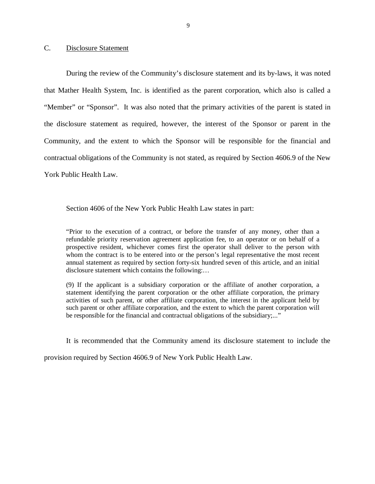#### <span id="page-10-0"></span>C. Disclosure Statement

 During the review of the Community's disclosure statement and its by-laws, it was noted that Mather Health System, Inc. is identified as the parent corporation, which also is called a "Member" or "Sponsor". It was also noted that the primary activities of the parent is stated in the disclosure statement as required, however, the interest of the Sponsor or parent in the Community, and the extent to which the Sponsor will be responsible for the financial and contractual obligations of the Community is not stated, as required by Section 4606.9 of the New York Public Health Law.

Section 4606 of the New York Public Health Law states in part:

 "Prior to the execution of a contract, or before the transfer of any money, other than a refundable priority reservation agreement application fee, to an operator or on behalf of a prospective resident, whichever comes first the operator shall deliver to the person with whom the contract is to be entered into or the person's legal representative the most recent annual statement as required by section forty-six hundred seven of this article, and an initial disclosure statement which contains the following:…

 (9) If the applicant is a subsidiary corporation or the affiliate of another corporation, a statement identifying the parent corporation or the other affiliate corporation, the primary activities of such parent, or other affiliate corporation, the interest in the applicant held by such parent or other affiliate corporation, and the extent to which the parent corporation will be responsible for the financial and contractual obligations of the subsidiary;..."

It is recommended that the Community amend its disclosure statement to include the

provision required by Section 4606.9 of New York Public Health Law.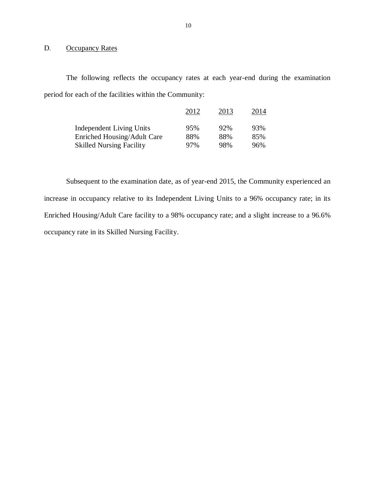#### <span id="page-11-0"></span>D. Occupancy Rates

 The following reflects the occupancy rates at each year-end during the examination period for each of the facilities within the Community:

|                                    | 2012 | 2013 | 2014 |
|------------------------------------|------|------|------|
| <b>Independent Living Units</b>    | 95%  | 92%  | 93%  |
| <b>Enriched Housing/Adult Care</b> | 88%  | 88%  | 85%  |
| <b>Skilled Nursing Facility</b>    | 97%  | 98%  | 96%  |

 Subsequent to the examination date, as of year-end 2015, the Community experienced an increase in occupancy relative to its Independent Living Units to a 96% occupancy rate; in its Enriched Housing/Adult Care facility to a 98% occupancy rate; and a slight increase to a 96.6% occupancy rate in its Skilled Nursing Facility.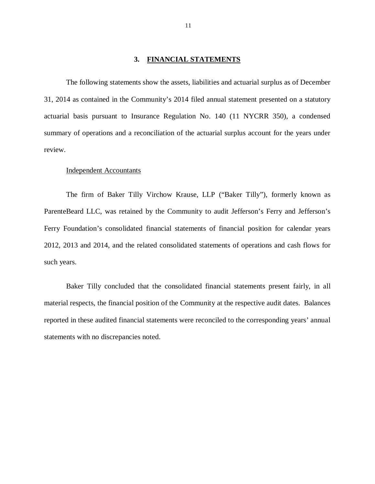#### **3. FINANCIAL STATEMENTS**

<span id="page-12-0"></span> 31, 2014 as contained in the Community's 2014 filed annual statement presented on a statutory actuarial basis pursuant to Insurance Regulation No. 140 (11 NYCRR 350), a condensed summary of operations and a reconciliation of the actuarial surplus account for the years under The following statements show the assets, liabilities and actuarial surplus as of December review.

#### Independent Accountants

 The firm of Baker Tilly Virchow Krause, LLP ("Baker Tilly"), formerly known as ParenteBeard LLC, was retained by the Community to audit Jefferson's Ferry and Jefferson's Ferry Foundation's consolidated financial statements of financial position for calendar years 2012, 2013 and 2014, and the related consolidated statements of operations and cash flows for such years.

 Baker Tilly concluded that the consolidated financial statements present fairly, in all material respects, the financial position of the Community at the respective audit dates. Balances reported in these audited financial statements were reconciled to the corresponding years' annual statements with no discrepancies noted.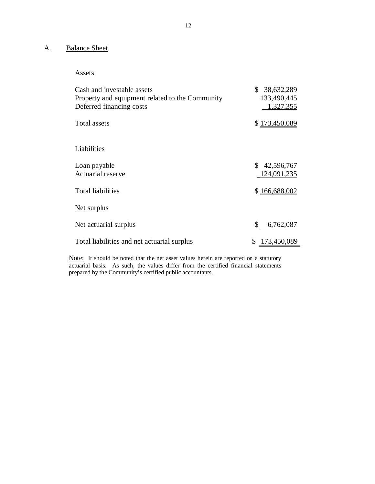#### <span id="page-13-0"></span>A. Balance Sheet

Assets

| Cash and investable assets<br>Property and equipment related to the Community<br>Deferred financing costs | \$<br>38,632,289<br>133,490,445<br>1,327,355 |
|-----------------------------------------------------------------------------------------------------------|----------------------------------------------|
| Total assets                                                                                              | \$173,450,089                                |
| Liabilities                                                                                               |                                              |
| Loan payable<br>Actuarial reserve                                                                         | \$42,596,767<br>124,091,235                  |
| <b>Total liabilities</b>                                                                                  | \$166,688,002                                |
| Net surplus                                                                                               |                                              |
| Net actuarial surplus                                                                                     | \$<br>6,762,087                              |
| Total liabilities and net actuarial surplus                                                               | 173,450,089<br>\$                            |

Note: It should be noted that the net asset values herein are reported on a statutory actuarial basis. As such, the values differ from the certified financial statements prepared by the Community's certified public accountants.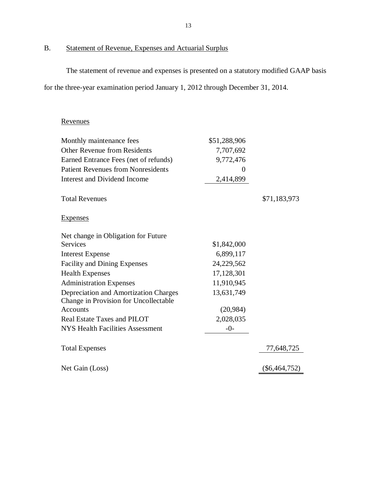#### B. Statement of Revenue, Expenses and Actuarial Surplus

 The statement of revenue and expenses is presented on a statutory modified GAAP basis for the three-year examination period January 1, 2012 through December 31, 2014.

#### Revenues

| Monthly maintenance fees                  | \$51,288,906 |                 |
|-------------------------------------------|--------------|-----------------|
| <b>Other Revenue from Residents</b>       | 7,707,692    |                 |
| Earned Entrance Fees (net of refunds)     | 9,772,476    |                 |
| <b>Patient Revenues from Nonresidents</b> | 0            |                 |
| Interest and Dividend Income              | 2,414,899    |                 |
| <b>Total Revenues</b>                     |              | \$71,183,973    |
| <b>Expenses</b>                           |              |                 |
| Net change in Obligation for Future       |              |                 |
| <b>Services</b>                           | \$1,842,000  |                 |
| <b>Interest Expense</b>                   | 6,899,117    |                 |
| <b>Facility and Dining Expenses</b>       | 24,229,562   |                 |
| <b>Health Expenses</b>                    | 17,128,301   |                 |
| <b>Administration Expenses</b>            | 11,910,945   |                 |
| Depreciation and Amortization Charges     | 13,631,749   |                 |
| Change in Provision for Uncollectable     |              |                 |
| Accounts                                  | (20, 984)    |                 |
| Real Estate Taxes and PILOT               | 2,028,035    |                 |
| <b>NYS Health Facilities Assessment</b>   | $-0-$        |                 |
| <b>Total Expenses</b>                     |              | 77,648,725      |
| Net Gain (Loss)                           |              | $(\$6,464,752)$ |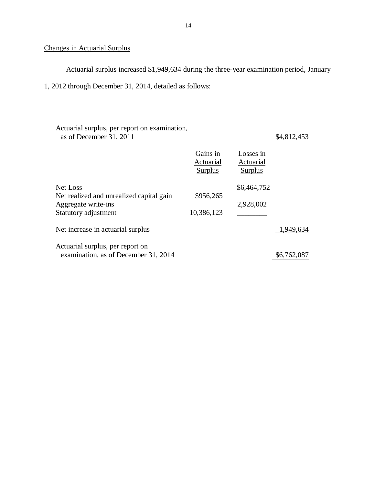#### Changes in Actuarial Surplus

Actuarial surplus increased \$1,949,634 during the three-year examination period, January

1, 2012 through December 31, 2014, detailed as follows:

| Actuarial surplus, per report on examination,<br>as of December 31, 2011 |                                         |                                          | \$4,812,453 |
|--------------------------------------------------------------------------|-----------------------------------------|------------------------------------------|-------------|
|                                                                          | Gains in<br>Actuarial<br><b>Surplus</b> | Losses in<br>Actuarial<br><b>Surplus</b> |             |
| Net Loss                                                                 |                                         | \$6,464,752                              |             |
| Net realized and unrealized capital gain                                 | \$956,265                               | 2,928,002                                |             |
| Aggregate write-ins<br>Statutory adjustment                              | 10,386,123                              |                                          |             |
| Net increase in actuarial surplus                                        |                                         |                                          | 1,949,634   |
| Actuarial surplus, per report on<br>examination, as of December 31, 2014 |                                         |                                          | \$6,762,087 |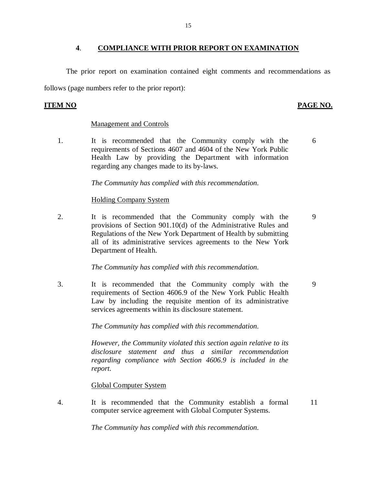#### **4**. **COMPLIANCE WITH PRIOR REPORT ON EXAMINATION**

<span id="page-16-0"></span> The prior report on examination contained eight comments and recommendations as follows (page numbers refer to the prior report):

#### **ITEM NO**

#### PAGE NO.

#### Management and Controls

 $1<sup>1</sup>$  requirements of Sections 4607 and 4604 of the New York Public Health Law by providing the Department with information regarding any changes made to its by-laws. It is recommended that the Community comply with the 6

 *The Community has complied with this recommendation.* 

#### Holding Company System

2. It is recommended that the Community comply with the 9 provisions of Section 901.10(d) of the Administrative Rules and Regulations of the New York Department of Health by submitting all of its administrative services agreements to the New York Department of Health.

#### *The Community has complied with this recommendation.*

 3. It is recommended that the Community comply with the 9 requirements of Section 4606.9 of the New York Public Health Law by including the requisite mention of its administrative services agreements within its disclosure statement.

 *The Community has complied with this recommendation.* 

 *However, the Community violated this section again relative to its disclosure statement and thus a similar recommendation regarding compliance with Section 4606.9 is included in the report.* 

#### Global Computer System

 $\overline{4}$ . computer service agreement with Global Computer Systems. It is recommended that the Community establish a formal 11

 *The Community has complied with this recommendation.*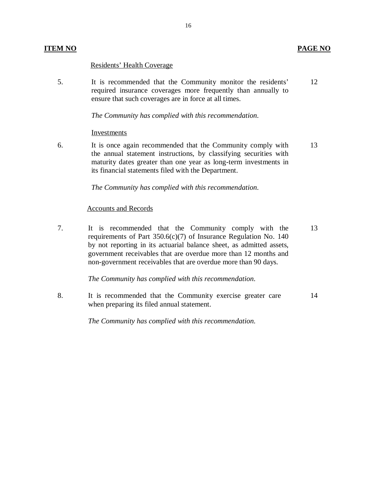#### Residents' Health Coverage

 5. It is recommended that the Community monitor the residents' required insurance coverages more frequently than annually to ensure that such coverages are in force at all times. 12

 *The Community has complied with this recommendation.* 

#### Investments

6. the annual statement instructions, by classifying securities with maturity dates greater than one year as long-term investments in its financial statements filed with the Department. It is once again recommended that the Community comply with 13

 *The Community has complied with this recommendation.* 

#### Accounts and Records

 7. It is recommended that the Community comply with the requirements of Part 350.6(c)(7) of Insurance Regulation No. 140 by not reporting in its actuarial balance sheet, as admitted assets, government receivables that are overdue more than 12 months and non-government receivables that are overdue more than 90 days. 13

 *The Community has complied with this recommendation.* 

 8. It is recommended that the Community exercise greater care when preparing its filed annual statement. 14

 *The Community has complied with this recommendation.*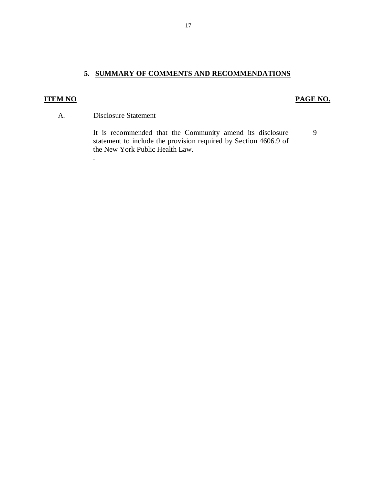### **5. SUMMARY OF COMMENTS AND RECOMMENDATIONS**

### **ITEM NO PAGE NO. PAGE NO.**

9

#### A. Disclosure Statement

.

 statement to include the provision required by Section 4606.9 of the New York Public Health Law. It is recommended that the Community amend its disclosure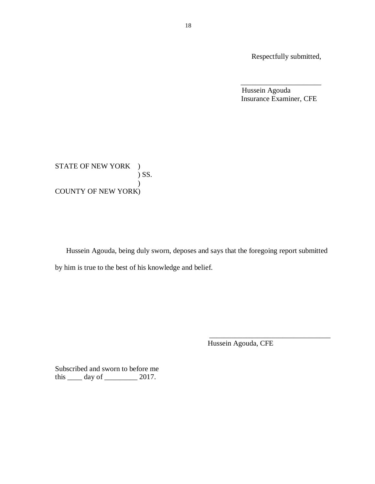Respectfully submitted,

Hussein Agouda Insurance Examiner, CFE

\_\_\_\_\_\_\_\_\_\_\_\_\_\_\_\_\_\_\_\_\_\_

STATE OF NEW YORK ) COUNTY OF NEW YORK) ) SS. )

 Hussein Agouda, being duly sworn, deposes and says that the foregoing report submitted by him is true to the best of his knowledge and belief.

Hussein Agouda, CFE

\_\_\_\_\_\_\_\_\_\_\_\_\_\_\_\_\_\_\_\_\_\_\_\_\_\_\_\_\_\_\_\_\_

 Subscribed and sworn to before me this  $\_\_\_\_$  day of  $\_\_\_\_\_\_$  2017.